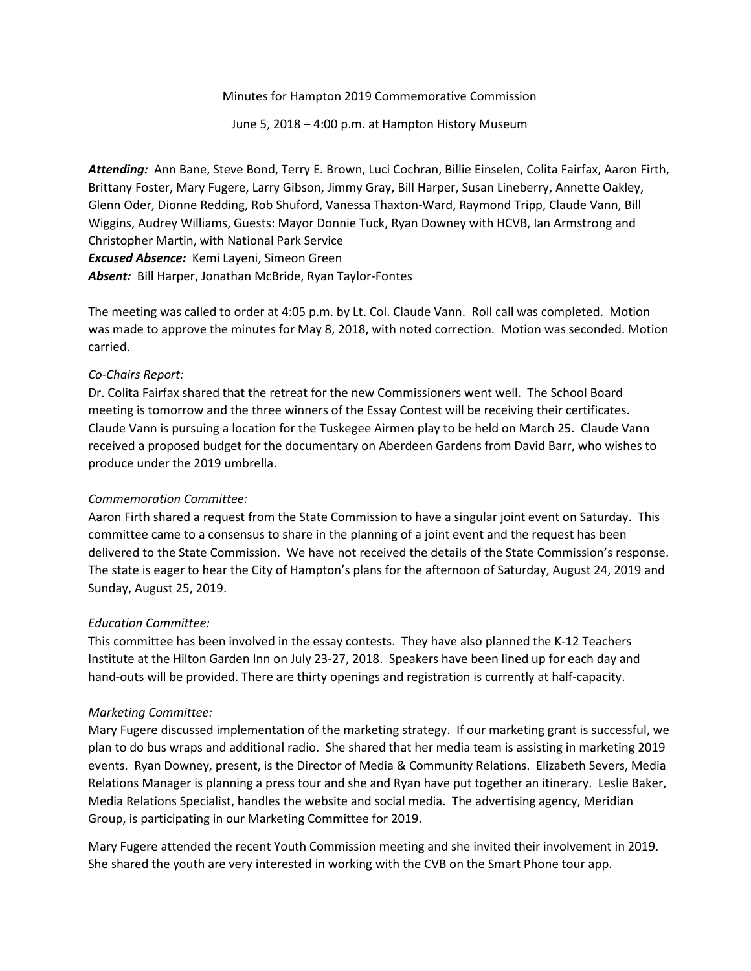Minutes for Hampton 2019 Commemorative Commission

June 5, 2018 – 4:00 p.m. at Hampton History Museum

*Attending:* Ann Bane, Steve Bond, Terry E. Brown, Luci Cochran, Billie Einselen, Colita Fairfax, Aaron Firth, Brittany Foster, Mary Fugere, Larry Gibson, Jimmy Gray, Bill Harper, Susan Lineberry, Annette Oakley, Glenn Oder, Dionne Redding, Rob Shuford, Vanessa Thaxton-Ward, Raymond Tripp, Claude Vann, Bill Wiggins, Audrey Williams, Guests: Mayor Donnie Tuck, Ryan Downey with HCVB, Ian Armstrong and Christopher Martin, with National Park Service *Excused Absence:* Kemi Layeni, Simeon Green *Absent:* Bill Harper, Jonathan McBride, Ryan Taylor-Fontes

The meeting was called to order at 4:05 p.m. by Lt. Col. Claude Vann. Roll call was completed. Motion was made to approve the minutes for May 8, 2018, with noted correction. Motion was seconded. Motion carried.

# *Co-Chairs Report:*

Dr. Colita Fairfax shared that the retreat for the new Commissioners went well. The School Board meeting is tomorrow and the three winners of the Essay Contest will be receiving their certificates. Claude Vann is pursuing a location for the Tuskegee Airmen play to be held on March 25. Claude Vann received a proposed budget for the documentary on Aberdeen Gardens from David Barr, who wishes to produce under the 2019 umbrella.

# *Commemoration Committee:*

Aaron Firth shared a request from the State Commission to have a singular joint event on Saturday. This committee came to a consensus to share in the planning of a joint event and the request has been delivered to the State Commission. We have not received the details of the State Commission's response. The state is eager to hear the City of Hampton's plans for the afternoon of Saturday, August 24, 2019 and Sunday, August 25, 2019.

# *Education Committee:*

This committee has been involved in the essay contests. They have also planned the K-12 Teachers Institute at the Hilton Garden Inn on July 23-27, 2018. Speakers have been lined up for each day and hand-outs will be provided. There are thirty openings and registration is currently at half-capacity.

# *Marketing Committee:*

Mary Fugere discussed implementation of the marketing strategy. If our marketing grant is successful, we plan to do bus wraps and additional radio. She shared that her media team is assisting in marketing 2019 events. Ryan Downey, present, is the Director of Media & Community Relations. Elizabeth Severs, Media Relations Manager is planning a press tour and she and Ryan have put together an itinerary. Leslie Baker, Media Relations Specialist, handles the website and social media. The advertising agency, Meridian Group, is participating in our Marketing Committee for 2019.

Mary Fugere attended the recent Youth Commission meeting and she invited their involvement in 2019. She shared the youth are very interested in working with the CVB on the Smart Phone tour app.